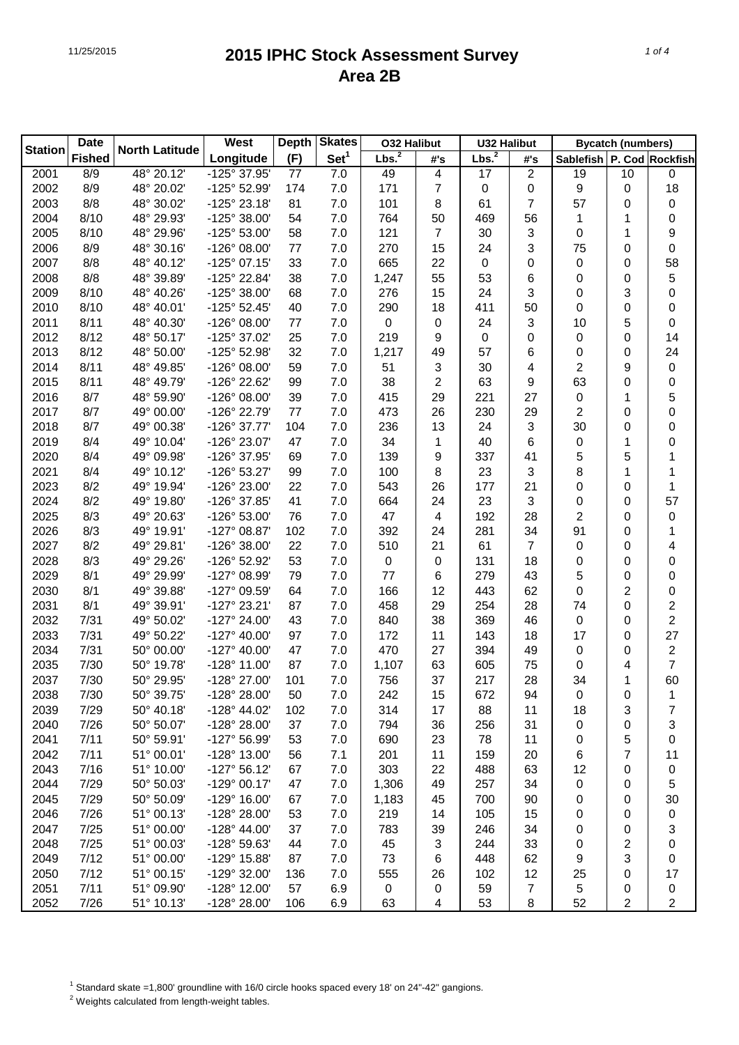| <b>Date</b><br><b>Station</b> |               |                       | West                  | <b>Depth</b> | <b>Skates</b>    | <b>O32 Halibut</b> |     | <b>U32 Halibut</b> |                | <b>Bycatch (numbers)</b>  |                |                  |
|-------------------------------|---------------|-----------------------|-----------------------|--------------|------------------|--------------------|-----|--------------------|----------------|---------------------------|----------------|------------------|
|                               | <b>Fished</b> | <b>North Latitude</b> | Longitude             | (F)          | Set <sup>1</sup> | Lbs. <sup>2</sup>  | #'s | Lbs. <sup>2</sup>  | #'s            | Sablefish P. Cod Rockfish |                |                  |
| 2001                          | 8/9           | 48° 20.12'            | -125° 37.95'          | 77           | 7.0              | 49                 | 4   | 17                 | $\overline{c}$ | 19                        | 10             | 0                |
| 2002                          | 8/9           | 48° 20.02'            | -125° 52.99'          | 174          | 7.0              | 171                | 7   | $\pmb{0}$          | 0              | 9                         | 0              | 18               |
| 2003                          | 8/8           | 48° 30.02'            | -125° 23.18'          | 81           | 7.0              | 101                | 8   | 61                 | 7              | 57                        | 0              | 0                |
| 2004                          | 8/10          | 48° 29.93'            | -125° 38.00'          | 54           | 7.0              | 764                | 50  | 469                | 56             | 1                         | 1              | 0                |
| 2005                          | 8/10          | 48° 29.96'            | -125° 53.00'          | 58           | 7.0              | 121                | 7   | 30                 | 3              | 0                         | 1              | 9                |
| 2006                          | 8/9           | 48° 30.16'            | -126° 08.00'          | 77           | 7.0              | 270                | 15  | 24                 | 3              | 75                        | 0              | 0                |
| 2007                          | 8/8           | 48° 40.12'            | $-125^{\circ}$ 07.15' | 33           | 7.0              | 665                | 22  | $\pmb{0}$          | 0              | 0                         | 0              | 58               |
| 2008                          | 8/8           | 48° 39.89'            | -125° 22.84'          | 38           | 7.0              | 1,247              | 55  | 53                 | 6              | 0                         | 0              | 5                |
| 2009                          | 8/10          | 48° 40.26'            | -125° 38.00'          | 68           | 7.0              | 276                | 15  | 24                 | 3              | 0                         | 3              | 0                |
| 2010                          | 8/10          | 48° 40.01'            | $-125°52.45'$         | 40           | 7.0              | 290                | 18  | 411                | 50             | 0                         | 0              | 0                |
| 2011                          | 8/11          | 48° 40.30'            | -126° 08.00'          | 77           | 7.0              | 0                  | 0   | 24                 | 3              | 10                        | 5              | 0                |
| 2012                          | 8/12          | 48° 50.17'            | -125° 37.02'          | 25           | 7.0              | 219                | 9   | $\pmb{0}$          | 0              | 0                         | 0              | 14               |
| 2013                          | 8/12          | 48° 50.00'            | -125° 52.98'          | 32           | 7.0              | 1,217              | 49  | 57                 | 6              | 0                         | 0              | 24               |
| 2014                          | 8/11          | 48° 49.85'            | -126° 08.00'          | 59           | 7.0              | 51                 | 3   | 30                 | 4              | $\overline{2}$            | 9              | 0                |
| 2015                          | 8/11          | 48° 49.79'            | -126° 22.62'          | 99           | 7.0              | 38                 | 2   | 63                 | 9              | 63                        | 0              | 0                |
| 2016                          | 8/7           | 48° 59.90'            | -126° 08.00'          | 39           | 7.0              | 415                | 29  | 221                | 27             | 0                         | 1              | 5                |
| 2017                          | 8/7           | 49° 00.00'            | -126° 22.79'          | 77           | 7.0              | 473                | 26  | 230                | 29             | $\overline{c}$            | 0              | 0                |
| 2018                          | 8/7           | 49° 00.38'            | -126° 37.77'          | 104          | 7.0              | 236                | 13  | 24                 | 3              | 30                        | 0              | 0                |
| 2019                          | 8/4           | 49° 10.04'            | -126° 23.07'          | 47           | 7.0              | 34                 | 1   | 40                 | 6              | 0                         | 1              | 0                |
| 2020                          | 8/4           | 49° 09.98'            | -126° 37.95'          | 69           | 7.0              | 139                | 9   | 337                | 41             | 5                         | 5              | 1                |
| 2021                          | 8/4           | 49° 10.12'            | -126° 53.27'          | 99           | 7.0              | 100                | 8   | 23                 | 3              | 8                         | 1              | 1                |
| 2023                          | 8/2           | 49° 19.94'            | -126° 23.00'          | 22           | 7.0              | 543                | 26  | 177                | 21             | 0                         | 0              | 1                |
| 2024                          | 8/2           | 49° 19.80'            | -126° 37.85'          | 41           | 7.0              | 664                | 24  | 23                 | 3              | 0                         | 0              | 57               |
| 2025                          | 8/3           | 49° 20.63'            | -126° 53.00'          | 76           | 7.0              | 47                 | 4   | 192                | 28             | $\overline{c}$            | 0              | 0                |
| 2026                          | 8/3           | 49° 19.91'            | $-127^{\circ}$ 08.87' | 102          | 7.0              | 392                | 24  | 281                | 34             | 91                        | 0              | 1                |
| 2027                          | 8/2           | 49° 29.81'            | -126° 38.00'          | 22           | 7.0              | 510                | 21  | 61                 | 7              | 0                         | 0              | 4                |
| 2028                          | 8/3           | 49° 29.26'            | -126° 52.92'          | 53           | 7.0              | 0                  | 0   | 131                | 18             | 0                         | 0              | 0                |
| 2029                          | 8/1           | 49° 29.99'            | -127° 08.99'          | 79           | 7.0              | 77                 | 6   | 279                | 43             | 5                         | 0              | 0                |
| 2030                          | 8/1           | 49° 39.88'            | -127° 09.59'          | 64           | 7.0              | 166                | 12  | 443                | 62             | 0                         | 2              | 0                |
| 2031                          | 8/1           | 49° 39.91'            | -127° 23.21'          | 87           | 7.0              | 458                | 29  | 254                | 28             | 74                        | 0              | 2                |
| 2032                          | 7/31          | 49° 50.02'            | -127° 24.00'          | 43           | 7.0              | 840                | 38  | 369                | 46             | 0                         | 0              | 2                |
| 2033                          | 7/31          | 49° 50.22'            | $-127^{\circ}$ 40.00' | 97           | 7.0              | 172                | 11  | 143                | 18             | 17                        | 0              | 27               |
| 2034                          | 7/31          | 50° 00.00'            | $-127^{\circ}$ 40.00' | 47           | 7.0              | 470                | 27  | 394                | 49             | 0                         | 0              | $\boldsymbol{2}$ |
| 2035                          | 7/30          | 50° 19.78'            | -128° 11.00'          | 87           | 7.0              | 1,107              | 63  | 605                | 75             | 0                         | 4              | 7                |
| 2037                          | 7/30          | 50° 29.95'            | -128° 27.00'          | 101          | 7.0              | 756                | 37  | 217                | 28             | 34                        | 1              | 60               |
| 2038                          | 7/30          | 50° 39.75'            | -128° 28.00'          | 50           | 7.0              | 242                | 15  | 672                | 94             | 0                         | 0              | 1                |
| 2039                          | 7/29          | 50° 40.18'            | -128° 44.02'          | 102          | 7.0              | 314                | 17  | 88                 | 11             | 18                        | 3              | 7                |
| 2040                          | 7/26          | 50° 50.07'            | -128° 28.00'          | 37           | 7.0              | 794                | 36  | 256                | 31             | 0                         | 0              | 3                |
| 2041                          | 7/11          | 50° 59.91'            | -127° 56.99'          | 53           | 7.0              | 690                | 23  | 78                 | 11             | 0                         | 5              | 0                |
| 2042                          | 7/11          | 51° 00.01'            | -128° 13.00'          | 56           | 7.1              | 201                | 11  | 159                | 20             | 6                         | 7              | 11               |
| 2043                          | 7/16          | 51° 10.00'            | $-127°56.12'$         | 67           | 7.0              | 303                | 22  | 488                | 63             | 12                        | 0              | 0                |
| 2044                          | 7/29          | 50° 50.03'            | $-129°00.17'$         | 47           | 7.0              | 1,306              | 49  | 257                | 34             | 0                         | 0              | 5                |
| 2045                          | 7/29          | 50° 50.09'            | -129° 16.00'          | 67           | 7.0              | 1,183              | 45  | 700                | 90             | 0                         | 0              | 30               |
| 2046                          | 7/26          | 51° 00.13'            | -128° 28.00'          | 53           | 7.0              | 219                | 14  | 105                | 15             | 0                         | 0              | 0                |
| 2047                          | 7/25          | 51° 00.00'            | $-128^{\circ}$ 44.00' | 37           | 7.0              | 783                | 39  | 246                | 34             | 0                         | 0              | 3                |
| 2048                          | 7/25          | 51° 00.03'            | -128° 59.63'          | 44           | 7.0              | 45                 | 3   | 244                | 33             | 0                         | 2              | 0                |
| 2049                          | 7/12          | 51° 00.00'            | -129° 15.88'          | 87           | 7.0              | 73                 | 6   | 448                | 62             | 9                         | 3              | 0                |
| 2050                          | 7/12          | 51° 00.15'            | -129° 32.00'          | 136          | 7.0              | 555                | 26  | 102                | 12             | 25                        | 0              | 17               |
| 2051                          | 7/11          | 51° 09.90'            | -128° 12.00'          | 57           | 6.9              | $\,0\,$            | 0   | 59                 | 7              | 5                         | 0              | 0                |
| 2052                          | 7/26          | 51° 10.13'            | -128° 28.00'          | 106          | 6.9              | 63                 | 4   | 53                 | $\,8\,$        | 52                        | $\overline{2}$ | 2                |

<sup>1</sup> Standard skate =1,800' groundline with 16/0 circle hooks spaced every 18' on 24"-42" gangions.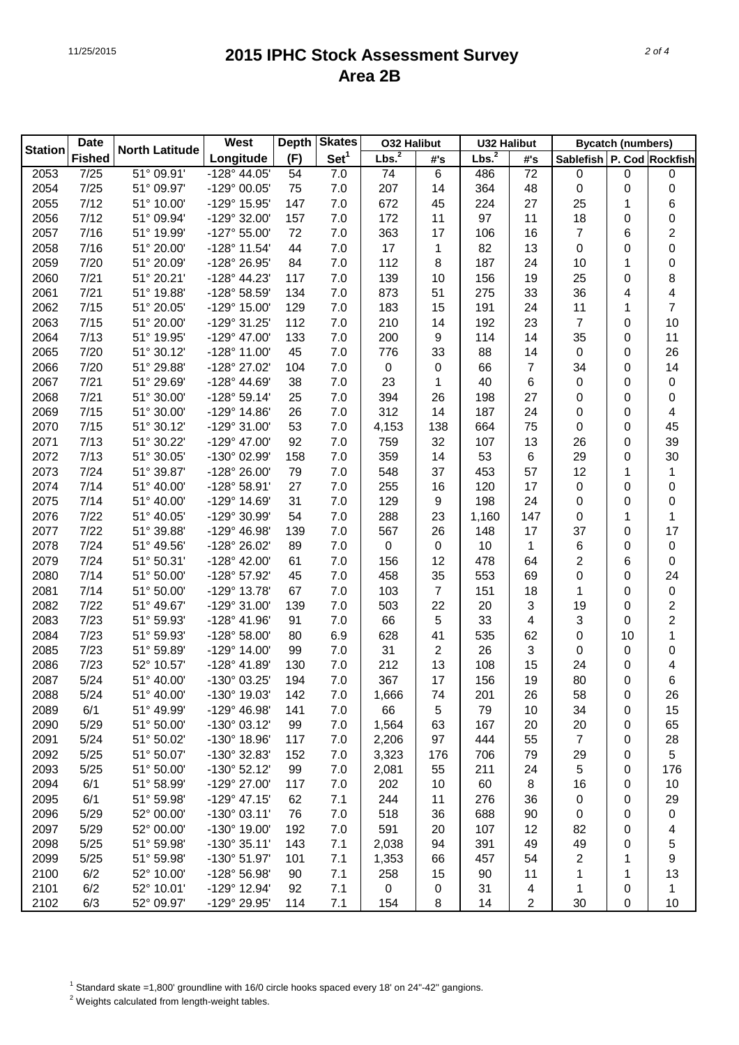| <b>Date</b>    |               |                       | West                  | <b>Depth</b> | <b>Skates</b>    | <b>O32 Halibut</b>  |                | U32 Halibut       |     | <b>Bycatch (numbers)</b>  |    |                |
|----------------|---------------|-----------------------|-----------------------|--------------|------------------|---------------------|----------------|-------------------|-----|---------------------------|----|----------------|
| <b>Station</b> | <b>Fished</b> | <b>North Latitude</b> | Longitude             | (F)          | Set <sup>1</sup> | Lbs. $\overline{2}$ | #'s            | Lbs. <sup>2</sup> | #'s | Sablefish P. Cod Rockfish |    |                |
| 2053           | 7/25          | 51° 09.91'            | -128° 44.05'          | 54           | 7.0              | 74                  | 6              | 486               | 72  | 0                         | 0  | 0              |
| 2054           | 7/25          | 51° 09.97'            | -129° 00.05'          | 75           | 7.0              | 207                 | 14             | 364               | 48  | 0                         | 0  | 0              |
| 2055           | 7/12          | 51° 10.00'            | -129° 15.95'          | 147          | 7.0              | 672                 | 45             | 224               | 27  | 25                        | 1  | 6              |
| 2056           | 7/12          | 51° 09.94'            | -129° 32.00'          | 157          | 7.0              | 172                 | 11             | 97                | 11  | 18                        | 0  | 0              |
| 2057           | 7/16          | 51° 19.99'            | $-127^{\circ} 55.00'$ | 72           | 7.0              | 363                 | 17             | 106               | 16  | 7                         | 6  | 2              |
| 2058           | 7/16          | 51° 20.00'            | -128° 11.54'          | 44           | 7.0              | 17                  | 1              | 82                | 13  | 0                         | 0  | 0              |
| 2059           | 7/20          | 51° 20.09'            | -128° 26.95'          | 84           | 7.0              | 112                 | 8              | 187               | 24  | 10                        | 1  | 0              |
| 2060           | 7/21          | 51° 20.21'            | -128° 44.23'          | 117          | 7.0              | 139                 | 10             | 156               | 19  | 25                        | 0  | 8              |
| 2061           | 7/21          | 51° 19.88'            | -128° 58.59'          | 134          | 7.0              | 873                 | 51             | 275               | 33  | 36                        | 4  | 4              |
| 2062           | 7/15          | 51° 20.05'            | -129° 15.00'          | 129          | 7.0              | 183                 | 15             | 191               | 24  | 11                        | 1  | 7              |
| 2063           | 7/15          | 51° 20.00'            | -129° 31.25'          | 112          | 7.0              | 210                 | 14             | 192               | 23  | $\overline{7}$            | 0  | 10             |
| 2064           | 7/13          | 51° 19.95'            | $-129^{\circ}$ 47.00  | 133          | 7.0              | 200                 | 9              | 114               | 14  | 35                        | 0  | 11             |
| 2065           | 7/20          | 51° 30.12'            | $-128°11.00'$         | 45           | 7.0              | 776                 | 33             | 88                | 14  | 0                         | 0  | 26             |
| 2066           | 7/20          | 51° 29.88'            | -128° 27.02'          | 104          | 7.0              | 0                   | 0              | 66                | 7   | 34                        | 0  | 14             |
| 2067           | 7/21          | 51° 29.69'            | $-128° 44.69'$        | 38           | 7.0              | 23                  | 1              | 40                | 6   | 0                         | 0  | 0              |
| 2068           | 7/21          | 51° 30.00'            | $-128°59.14'$         | 25           | 7.0              | 394                 | 26             | 198               | 27  | 0                         | 0  | 0              |
| 2069           | 7/15          | 51° 30.00'            | -129° 14.86'          | 26           | 7.0              | 312                 | 14             | 187               | 24  | 0                         | 0  | 4              |
| 2070           | 7/15          | 51° 30.12'            | -129° 31.00'          | 53           | 7.0              | 4,153               | 138            | 664               | 75  | $\boldsymbol{0}$          | 0  | 45             |
| 2071           | 7/13          | 51° 30.22'            | $-129^{\circ}$ 47.00  | 92           | 7.0              | 759                 | 32             | 107               | 13  | 26                        | 0  | 39             |
| 2072           | 7/13          | 51° 30.05'            | -130° 02.99'          | 158          | 7.0              | 359                 | 14             | 53                | 6   | 29                        | 0  | 30             |
| 2073           | 7/24          | 51° 39.87'            | $-128°26.00'$         | 79           | 7.0              | 548                 | 37             | 453               | 57  | 12                        | 1  | 1              |
| 2074           | 7/14          | 51° 40.00'            | -128° 58.91'          | 27           | 7.0              | 255                 | 16             | 120               | 17  | 0                         | 0  | 0              |
| 2075           | 7/14          | 51° 40.00'            | -129° 14.69'          | 31           | 7.0              | 129                 | 9              | 198               | 24  | $\boldsymbol{0}$          | 0  | 0              |
| 2076           | 7/22          | 51° 40.05'            | -129° 30.99'          | 54           | 7.0              | 288                 | 23             | 1,160             | 147 | 0                         | 1  | 1              |
| 2077           | 7/22          | 51° 39.88'            | $-129°$ 46.98         | 139          | 7.0              | 567                 | 26             | 148               | 17  | 37                        | 0  | 17             |
| 2078           | 7/24          | 51° 49.56'            | -128° 26.02'          | 89           | 7.0              | 0                   | 0              | 10                | 1   | 6                         | 0  | 0              |
| 2079           | 7/24          | 51° 50.31'            | -128° 42.00'          | 61           | 7.0              | 156                 | 12             | 478               | 64  | $\overline{c}$            | 6  | 0              |
| 2080           | 7/14          | 51° 50.00'            | -128° 57.92'          | 45           | 7.0              | 458                 | 35             | 553               | 69  | 0                         | 0  | 24             |
| 2081           | 7/14          | 51° 50.00'            | -129° 13.78'          | 67           | 7.0              | 103                 | $\overline{7}$ | 151               | 18  | 1                         | 0  | 0              |
| 2082           | 7/22          | 51° 49.67'            | -129° 31.00'          | 139          | 7.0              | 503                 | 22             | 20                | 3   | 19                        | 0  | $\overline{2}$ |
| 2083           | 7/23          | 51° 59.93'            | $-128° 41.96'$        | 91           | 7.0              | 66                  | 5              | 33                | 4   | 3                         | 0  | 2              |
| 2084           | 7/23          | 51° 59.93'            | $-128°58.00'$         | 80           | 6.9              | 628                 | 41             | 535               | 62  | 0                         | 10 | 1              |
| 2085           | 7/23          | 51° 59.89'            | $-129^{\circ}$ 14.00  | 99           | 7.0              | 31                  | 2              | 26                | 3   | 0                         | 0  | 0              |
| 2086           | 7/23          | 52° 10.57'            | -128° 41.89'          | 130          | 7.0              | 212                 | 13             | 108               | 15  | 24                        | 0  | 4              |
| 2087           | 5/24          | 51° 40.00'            | -130° 03.25           | 194          | 7.0              | 367                 | 17             | 156               | 19  | 80                        | 0  | 6              |
| 2088           | 5/24          | 51° 40.00'            | $-130^{\circ}$ 19.03  | 142          | 7.0              | 1,666               | 74             | 201               | 26  | 58                        | 0  | 26             |
| 2089           | 6/1           | 51° 49.99'            | -129° 46.98'          | 141          | 7.0              | 66                  | 5              | 79                | 10  | 34                        | 0  | 15             |
| 2090           | 5/29          | 51° 50.00'            | -130° 03.12'          | 99           | 7.0              | 1,564               | 63             | 167               | 20  | 20                        | 0  | 65             |
| 2091           | 5/24          | 51° 50.02'            | -130° 18.96'          | 117          | 7.0              | 2,206               | 97             | 444               | 55  | $\overline{7}$            | 0  | 28             |
| 2092           | 5/25          | 51° 50.07'            | -130° 32.83'          | 152          | 7.0              | 3,323               | 176            | 706               | 79  | 29                        | 0  | 5              |
| 2093           | 5/25          | 51° 50.00'            | -130° 52.12'          | 99           | 7.0              | 2,081               | 55             | 211               | 24  | 5                         | 0  | 176            |
| 2094           | 6/1           | 51° 58.99'            | -129° 27.00'          | 117          | 7.0              | 202                 | 10             | 60                | 8   | 16                        |    | 10             |
| 2095           | 6/1           | 51° 59.98'            | $-129°$ 47.15'        | 62           | 7.1              | 244                 | 11             | 276               | 36  | 0                         | 0  | 29             |
|                | 5/29          | 52° 00.00'            |                       | 76           |                  | 518                 |                |                   |     |                           | 0  |                |
| 2096           |               |                       | $-130^{\circ}$ 03.11' |              | 7.0              |                     | 36             | 688               | 90  | 0                         | 0  | 0              |
| 2097           | 5/29          | 52° 00.00'            | -130° 19.00'          | 192          | 7.0              | 591                 | 20             | 107               | 12  | 82                        | 0  | 4              |
| 2098           | 5/25          | 51° 59.98'            | $-130^{\circ}35.11'$  | 143          | 7.1              | 2,038               | 94             | 391               | 49  | 49                        | 0  | 5              |
| 2099           | 5/25          | 51° 59.98'            | -130° 51.97'          | 101          | 7.1              | 1,353               | 66             | 457               | 54  | 2                         | 1  | 9              |
| 2100           | 6/2           | 52° 10.00'            | -128° 56.98'          | 90           | 7.1              | 258                 | 15             | 90                | 11  | 1                         | 1  | 13             |
| 2101           | 6/2           | 52° 10.01'            | -129° 12.94'          | 92           | 7.1              | 0                   | 0              | 31                | 4   | 1                         | 0  | 1              |
| 2102           | 6/3           | 52° 09.97'            | -129° 29.95'          | 114          | 7.1              | 154                 | 8              | 14                | 2   | 30                        | 0  | 10             |

<sup>1</sup> Standard skate =1,800' groundline with 16/0 circle hooks spaced every 18' on 24"-42" gangions.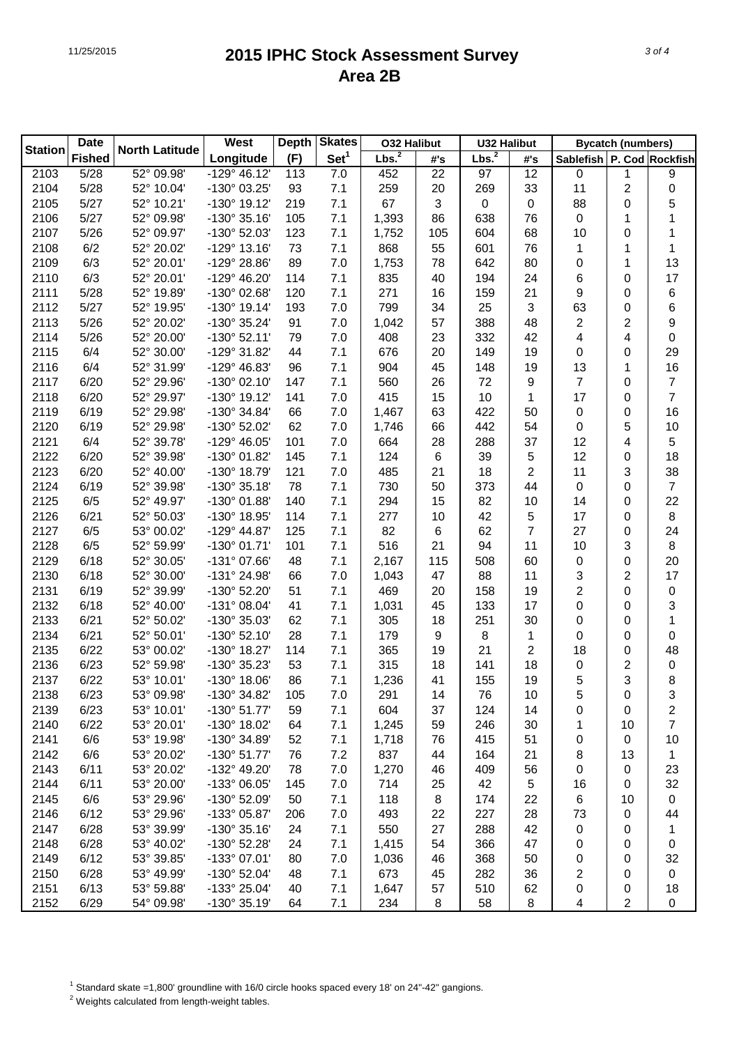|                | <b>Date</b>   |                       | <b>Skates</b><br><b>West</b><br><b>Depth</b><br><b>O32 Halibut</b><br><b>U32 Halibut</b> |     |                  | <b>Bycatch (numbers)</b> |     |                   |     |                           |                |                |
|----------------|---------------|-----------------------|------------------------------------------------------------------------------------------|-----|------------------|--------------------------|-----|-------------------|-----|---------------------------|----------------|----------------|
| <b>Station</b> | <b>Fished</b> | <b>North Latitude</b> | Longitude                                                                                | (F) | Set <sup>1</sup> | Lbs. <sup>2</sup>        | #'s | Lbs. <sup>2</sup> | #'s | Sablefish P. Cod Rockfish |                |                |
| 2103           | 5/28          | 52° 09.98'            | $-129^{\circ}$ 46.12'                                                                    | 113 | 7.0              | 452                      | 22  | 97                | 12  | $\pmb{0}$                 | 1              | 9              |
| 2104           | 5/28          | 52° 10.04'            | -130° 03.25'                                                                             | 93  | 7.1              | 259                      | 20  | 269               | 33  | 11                        | $\overline{c}$ | 0              |
| 2105           | 5/27          | 52° 10.21'            | -130° 19.12'                                                                             | 219 | 7.1              | 67                       | 3   | $\pmb{0}$         | 0   | 88                        | 0              | 5              |
| 2106           | 5/27          | 52° 09.98'            | $-130^{\circ}35.16'$                                                                     | 105 | 7.1              | 1,393                    | 86  | 638               | 76  | 0                         | 1              | 1              |
| 2107           | 5/26          | 52° 09.97'            | -130° 52.03'                                                                             | 123 | 7.1              | 1,752                    | 105 | 604               | 68  | 10                        | 0              | 1              |
| 2108           | 6/2           | 52° 20.02'            | $-129°$ 13.16'                                                                           | 73  | 7.1              | 868                      | 55  | 601               | 76  | 1                         | 1              | 1              |
| 2109           | 6/3           | 52° 20.01'            | -129° 28.86'                                                                             | 89  | 7.0              | 1,753                    | 78  | 642               | 80  | 0                         | 1              | 13             |
| 2110           | 6/3           | 52° 20.01'            | -129° 46.20'                                                                             | 114 | 7.1              | 835                      | 40  | 194               | 24  | 6                         | 0              | 17             |
| 2111           | 5/28          | 52° 19.89'            | -130° 02.68'                                                                             | 120 | 7.1              | 271                      | 16  | 159               | 21  | 9                         | 0              | 6              |
| 2112           | 5/27          | 52° 19.95'            | $-130^{\circ}$ 19.14'                                                                    | 193 | 7.0              | 799                      | 34  | 25                | 3   | 63                        | 0              | 6              |
| 2113           | 5/26          | 52° 20.02'            | -130° 35.24'                                                                             | 91  | 7.0              | 1,042                    | 57  | 388               | 48  | $\overline{c}$            | 2              | 9              |
| 2114           | 5/26          | 52° 20.00'            | $-130^{\circ}$ 52.11'                                                                    | 79  | 7.0              | 408                      | 23  | 332               | 42  | 4                         | 4              | 0              |
| 2115           | 6/4           | 52° 30.00'            | -129° 31.82'                                                                             | 44  | 7.1              | 676                      | 20  | 149               | 19  | 0                         | 0              | 29             |
| 2116           | 6/4           | 52° 31.99'            | -129° 46.83'                                                                             | 96  | 7.1              | 904                      | 45  | 148               | 19  | 13                        | 1              | 16             |
| 2117           | 6/20          | 52° 29.96'            | $-130^{\circ}$ 02.10                                                                     | 147 | 7.1              | 560                      | 26  | 72                | 9   | $\overline{7}$            | 0              | 7              |
| 2118           | 6/20          | 52° 29.97'            | -130° 19.12'                                                                             | 141 | 7.0              | 415                      | 15  | 10                | 1   | 17                        | 0              | 7              |
| 2119           | 6/19          | 52° 29.98'            | -130° 34.84'                                                                             | 66  | 7.0              | 1,467                    | 63  | 422               | 50  | 0                         | 0              | 16             |
| 2120           | 6/19          | 52° 29.98'            | -130° 52.02'                                                                             | 62  | 7.0              | 1,746                    | 66  | 442               | 54  | 0                         | 5              | 10             |
| 2121           | 6/4           | 52° 39.78'            | -129° 46.05'                                                                             | 101 | 7.0              | 664                      | 28  | 288               | 37  | 12                        | 4              | 5              |
| 2122           | 6/20          | 52° 39.98'            | -130° 01.82'                                                                             | 145 | 7.1              | 124                      | 6   | 39                | 5   | 12                        | 0              | 18             |
| 2123           | 6/20          | 52° 40.00'            | -130° 18.79'                                                                             | 121 | 7.0              | 485                      | 21  | 18                | 2   | 11                        | 3              | 38             |
| 2124           | 6/19          | 52° 39.98'            | $-130^{\circ}35.18'$                                                                     | 78  | 7.1              | 730                      | 50  | 373               | 44  | 0                         | 0              | 7              |
| 2125           | 6/5           | 52° 49.97'            | -130° 01.88'                                                                             | 140 | 7.1              | 294                      | 15  | 82                | 10  | 14                        | 0              | 22             |
| 2126           | 6/21          | 52° 50.03'            | -130° 18.95'                                                                             | 114 | 7.1              | 277                      | 10  | 42                | 5   | 17                        | 0              | 8              |
| 2127           | 6/5           | 53° 00.02'            | $-129°$ 44.87'                                                                           | 125 | 7.1              | 82                       | 6   | 62                | 7   | 27                        | 0              | 24             |
| 2128           | 6/5           | 52° 59.99'            | $-130^{\circ}$ 01.71'                                                                    | 101 | 7.1              | 516                      | 21  | 94                | 11  | 10                        | 3              | 8              |
| 2129           | 6/18          | 52° 30.05'            | $-131^{\circ}$ 07.66'                                                                    | 48  | 7.1              | 2,167                    | 115 | 508               | 60  | 0                         | 0              | 20             |
| 2130           | 6/18          | 52° 30.00'            | -131° 24.98'                                                                             | 66  | 7.0              | 1,043                    | 47  | 88                | 11  | 3                         | $\overline{c}$ | 17             |
|                | 6/19          | 52° 39.99'            | -130° 52.20'                                                                             |     | 7.1              | 469                      | 20  | 158               | 19  | $\overline{2}$            | 0              |                |
| 2131<br>2132   | 6/18          | 52° 40.00'            | $-131°08.04'$                                                                            | 51  | 7.1              |                          | 45  | 133               | 17  | 0                         |                | 0              |
|                | 6/21          | 52° 50.02'            |                                                                                          | 41  | 7.1              | 1,031                    |     | 251               | 30  |                           | 0              | 3              |
| 2133           | 6/21          | 52° 50.01'            | -130° 35.03'                                                                             | 62  | 7.1              | 305                      | 18  |                   |     | 0                         | 0              | 1              |
| 2134           |               | 53° 00.02'            | $-130^{\circ}$ 52.10'                                                                    | 28  |                  | 179                      | 9   | 8                 | 1   | 0                         | 0              | 0              |
| 2135           | 6/22          |                       | -130° 18.27'                                                                             | 114 | 7.1<br>7.1       | 365                      | 19  | 21                | 2   | 18                        | 0              | 48             |
| 2136           | 6/23          | 52° 59.98'            | -130° 35.23'                                                                             | 53  |                  | 315                      | 18  | 141               | 18  | 0                         | 2              | 0              |
| 2137           | 6/22          | 53° 10.01'            | $-130^{\circ}$ 18.06                                                                     | 86  | 7.1              | 1,236                    | 41  | 155               | 19  | 5                         | 3              | 8              |
| 2138           | 6/23          | 53° 09.98'            | -130° 34.82'                                                                             | 105 | 7.0              | 291                      | 14  | 76                | 10  | 5                         | 0              | 3              |
| 2139           | 6/23          | 53° 10.01'            | $-130^{\circ} 51.77'$                                                                    | 59  | 7.1              | 604                      | 37  | 124               | 14  | 0                         | 0              | 2              |
| 2140           | 6/22          | 53° 20.01'            | -130° 18.02'                                                                             | 64  | 7.1              | 1,245                    | 59  | 246               | 30  | 1                         | 10             | $\overline{7}$ |
| 2141           | 6/6           | 53° 19.98'            | -130° 34.89'                                                                             | 52  | 7.1              | 1,718                    | 76  | 415               | 51  | 0                         | $\pmb{0}$      | 10             |
| 2142           | 6/6           | 53° 20.02'            | $-130^{\circ} 51.77'$                                                                    | 76  | 7.2              | 837                      | 44  | 164               | 21  | 8                         | 13             | 1              |
| 2143           | 6/11          | 53° 20.02'            | -132° 49.20'                                                                             | 78  | 7.0              | 1,270                    | 46  | 409               | 56  | 0                         | $\pmb{0}$      | 23             |
| 2144           | 6/11          | 53° 20.00'            | -133° 06.05'                                                                             | 145 | 7.0              | 714                      | 25  | 42                | 5   | 16                        | $\pmb{0}$      | 32             |
| 2145           | 6/6           | 53° 29.96'            | -130° 52.09'                                                                             | 50  | 7.1              | 118                      | 8   | 174               | 22  | 6                         | 10             | 0              |
| 2146           | 6/12          | 53° 29.96'            | -133° 05.87'                                                                             | 206 | 7.0              | 493                      | 22  | 227               | 28  | 73                        | $\pmb{0}$      | 44             |
| 2147           | 6/28          | 53° 39.99'            | $-130^{\circ}35.16'$                                                                     | 24  | 7.1              | 550                      | 27  | 288               | 42  | $\pmb{0}$                 | 0              | 1              |
| 2148           | 6/28          | 53° 40.02'            | -130° 52.28'                                                                             | 24  | 7.1              | 1,415                    | 54  | 366               | 47  | 0                         | 0              | 0              |
| 2149           | 6/12          | 53° 39.85'            | -133° 07.01'                                                                             | 80  | 7.0              | 1,036                    | 46  | 368               | 50  | 0                         | 0              | 32             |
| 2150           | 6/28          | 53° 49.99'            | -130° 52.04'                                                                             | 48  | 7.1              | 673                      | 45  | 282               | 36  | $\overline{\mathbf{c}}$   | 0              | 0              |
| 2151           | 6/13          | 53° 59.88'            | -133° 25.04'                                                                             | 40  | 7.1              | 1,647                    | 57  | 510               | 62  | 0                         | 0              | 18             |
| 2152           | 6/29          | 54° 09.98'            | -130° 35.19'                                                                             | 64  | 7.1              | 234                      | 8   | 58                | 8   | 4                         | $\overline{2}$ | 0              |

<sup>1</sup> Standard skate =1,800' groundline with 16/0 circle hooks spaced every 18' on 24"-42" gangions.